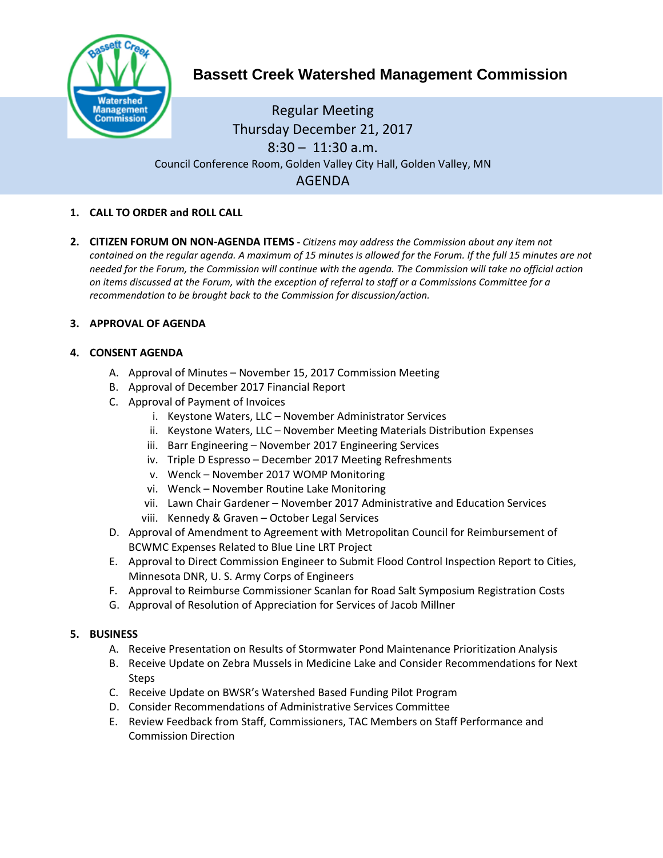

# **Bassett Creek Watershed Management Commission**

## Regular Meeting Thursday December 21, 2017 8:30 – 11:30 a.m. Council Conference Room, Golden Valley City Hall, Golden Valley, MN AGENDA

### **1. CALL TO ORDER and ROLL CALL**

**2. CITIZEN FORUM ON NON-AGENDA ITEMS -** *Citizens may address the Commission about any item not contained on the regular agenda. A maximum of 15 minutes is allowed for the Forum. If the full 15 minutes are not needed for the Forum, the Commission will continue with the agenda. The Commission will take no official action on items discussed at the Forum, with the exception of referral to staff or a Commissions Committee for a recommendation to be brought back to the Commission for discussion/action.*

#### **3. APPROVAL OF AGENDA**

#### **4. CONSENT AGENDA**

- A. Approval of Minutes November 15, 2017 Commission Meeting
- B. Approval of December 2017 Financial Report
- C. Approval of Payment of Invoices
	- i. Keystone Waters, LLC November Administrator Services
	- ii. Keystone Waters, LLC November Meeting Materials Distribution Expenses
	- iii. Barr Engineering November 2017 Engineering Services
	- iv. Triple D Espresso December 2017 Meeting Refreshments
	- v. Wenck November 2017 WOMP Monitoring
	- vi. Wenck November Routine Lake Monitoring
	- vii. Lawn Chair Gardener November 2017 Administrative and Education Services
	- viii. Kennedy & Graven October Legal Services
- D. Approval of Amendment to Agreement with Metropolitan Council for Reimbursement of BCWMC Expenses Related to Blue Line LRT Project
- E. Approval to Direct Commission Engineer to Submit Flood Control Inspection Report to Cities, Minnesota DNR, U. S. Army Corps of Engineers
- F. Approval to Reimburse Commissioner Scanlan for Road Salt Symposium Registration Costs
- G. Approval of Resolution of Appreciation for Services of Jacob Millner

#### **5. BUSINESS**

- A. Receive Presentation on Results of Stormwater Pond Maintenance Prioritization Analysis
- B. Receive Update on Zebra Mussels in Medicine Lake and Consider Recommendations for Next **Steps**
- C. Receive Update on BWSR's Watershed Based Funding Pilot Program
- D. Consider Recommendations of Administrative Services Committee
- E. Review Feedback from Staff, Commissioners, TAC Members on Staff Performance and Commission Direction